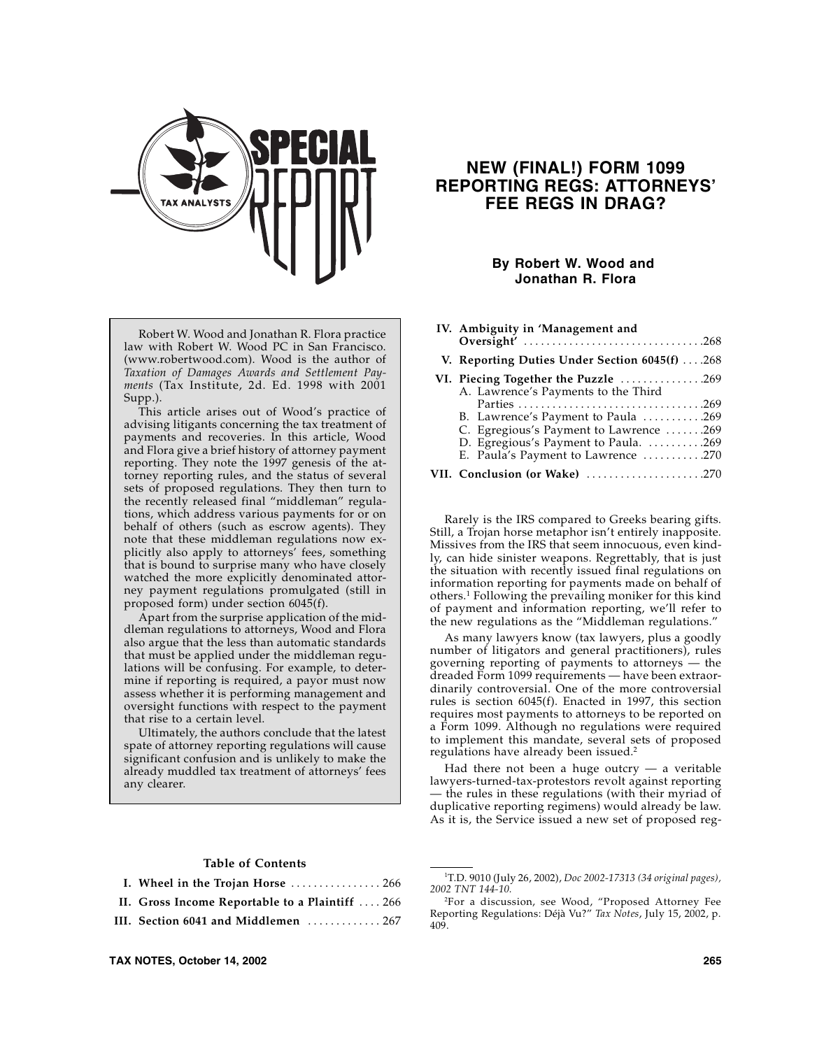

Robert W. Wood and Jonathan R. Flora practice law with Robert W. Wood PC in San Francisco. (www.robertwood.com). Wood is the author of *Taxation of Damages Awards and Settlement Payments* (Tax Institute, 2d. Ed. 1998 with 2001 Supp.).

This article arises out of Wood's practice of advising litigants concerning the tax treatment of payments and recoveries. In this article, Wood and Flora give a brief history of attorney payment reporting. They note the 1997 genesis of the attorney reporting rules, and the status of several sets of proposed regulations. They then turn to the recently released final "middleman" regulations, which address various payments for or on behalf of others (such as escrow agents). They note that these middleman regulations now explicitly also apply to attorneys' fees, something that is bound to surprise many who have closely watched the more explicitly denominated attorney payment regulations promulgated (still in proposed form) under section 6045(f).

Apart from the surprise application of the middleman regulations to attorneys, Wood and Flora also argue that the less than automatic standards that must be applied under the middleman regulations will be confusing. For example, to determine if reporting is required, a payor must now assess whether it is performing management and oversight functions with respect to the payment that rise to a certain level.

Ultimately, the authors conclude that the latest spate of attorney reporting regulations will cause significant confusion and is unlikely to make the already muddled tax treatment of attorneys' fees any clearer.

## **Table of Contents**

|--|--|--|--|

- **II. Gross Income Reportable to a Plaintiff** . . . . 266
- **III. Section 6041 and Middlemen** . . . . . . . . . . . . . 267

# **NEW (FINAL!) FORM 1099 REPORTING REGS: ATTORNEYS' FEE REGS IN DRAG?**

## **By Robert W. Wood and Jonathan R. Flora**

| IV. Ambiguity in 'Management and                                                                                     |
|----------------------------------------------------------------------------------------------------------------------|
| V. Reporting Duties Under Section $6045(f)$ 268                                                                      |
| VI. Piecing Together the Puzzle 269<br>A. Lawrence's Payments to the Third                                           |
| B. Lawrence's Payment to Paula 269                                                                                   |
| C. Egregious's Payment to Lawrence 269<br>D. Egregious's Payment to Paula. 269<br>E. Paula's Payment to Lawrence 270 |
| VII. Conclusion (or Wake) 270                                                                                        |

Rarely is the IRS compared to Greeks bearing gifts. Still, a Trojan horse metaphor isn't entirely inapposite. Missives from the IRS that seem innocuous, even kindly, can hide sinister weapons. Regrettably, that is just the situation with recently issued final regulations on information reporting for payments made on behalf of others.1 Following the prevailing moniker for this kind of payment and information reporting, we'll refer to the new regulations as the "Middleman regulations."

As many lawyers know (tax lawyers, plus a goodly number of litigators and general practitioners), rules governing reporting of payments to attorneys — the dreaded Form 1099 requirements — have been extraordinarily controversial. One of the more controversial rules is section 6045(f). Enacted in 1997, this section requires most payments to attorneys to be reported on a Form 1099. Although no regulations were required to implement this mandate, several sets of proposed regulations have already been issued.2

Had there not been a huge outcry  $-$  a veritable lawyers-turned-tax-protestors revolt against reporting — the rules in these regulations (with their myriad of duplicative reporting regimens) would already be law. As it is, the Service issued a new set of proposed reg-

<sup>1</sup> T.D. 9010 (July 26, 2002), *Doc 2002-17313 (34 original pages), 2002 TNT 144-10.*

<sup>2</sup> For a discussion, see Wood, "Proposed Attorney Fee Reporting Regulations: Déjà Vu?" *Tax Notes*, July 15, 2002, p. 409.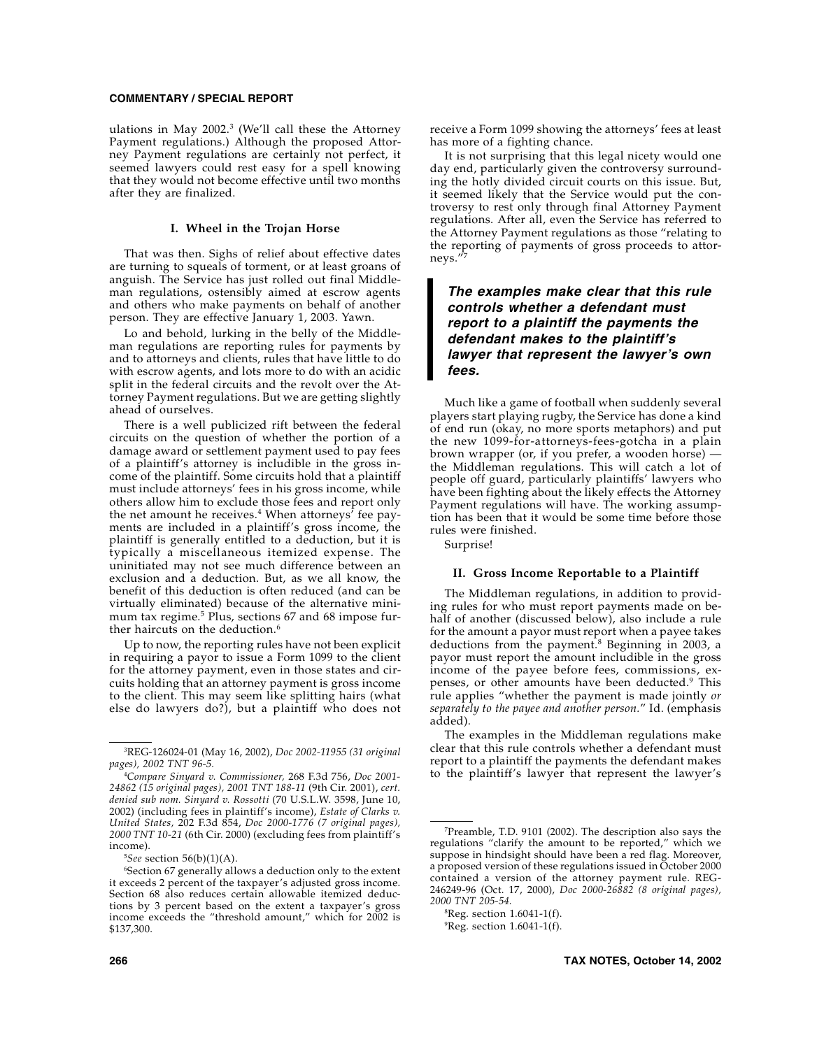ulations in May 2002.3 (We'll call these the Attorney Payment regulations.) Although the proposed Attorney Payment regulations are certainly not perfect, it seemed lawyers could rest easy for a spell knowing that they would not become effective until two months after they are finalized.

#### **I. Wheel in the Trojan Horse**

That was then. Sighs of relief about effective dates are turning to squeals of torment, or at least groans of anguish. The Service has just rolled out final Middleman regulations, ostensibly aimed at escrow agents and others who make payments on behalf of another person. They are effective January 1, 2003. Yawn.

Lo and behold, lurking in the belly of the Middleman regulations are reporting rules for payments by and to attorneys and clients, rules that have little to do with escrow agents, and lots more to do with an acidic split in the federal circuits and the revolt over the Attorney Payment regulations. But we are getting slightly ahead of ourselves.

There is a well publicized rift between the federal circuits on the question of whether the portion of a damage award or settlement payment used to pay fees of a plaintiff's attorney is includible in the gross income of the plaintiff. Some circuits hold that a plaintiff must include attorneys' fees in his gross income, while others allow him to exclude those fees and report only the net amount he receives.<sup>4</sup> When attorneys<sup> $\dot{ }$ </sup> fee payments are included in a plaintiff's gross income, the plaintiff is generally entitled to a deduction, but it is typically a miscellaneous itemized expense. The uninitiated may not see much difference between an exclusion and a deduction. But, as we all know, the benefit of this deduction is often reduced (and can be virtually eliminated) because of the alternative minimum tax regime.<sup>5</sup> Plus, sections 67 and 68 impose further haircuts on the deduction.<sup>6</sup>

Up to now, the reporting rules have not been explicit in requiring a payor to issue a Form 1099 to the client for the attorney payment, even in those states and circuits holding that an attorney payment is gross income to the client. This may seem like splitting hairs (what else do lawyers do?), but a plaintiff who does not

5 *See* section 56(b)(1)(A).

receive a Form 1099 showing the attorneys' fees at least has more of a fighting chance.

It is not surprising that this legal nicety would one day end, particularly given the controversy surrounding the hotly divided circuit courts on this issue. But, it seemed likely that the Service would put the controversy to rest only through final Attorney Payment regulations. After all, even the Service has referred to the Attorney Payment regulations as those "relating to the reporting of payments of gross proceeds to attorneys.'

## *The examples make clear that this rule controls whether a defendant must report to a plaintiff the payments the defendant makes to the plaintiff's lawyer that represent the lawyer's own fees.*

Much like a game of football when suddenly several players start playing rugby, the Service has done a kind of end run (okay, no more sports metaphors) and put the new 1099-for-attorneys-fees-gotcha in a plain brown wrapper (or, if you prefer, a wooden horse) the Middleman regulations. This will catch a lot of people off guard, particularly plaintiffs' lawyers who have been fighting about the likely effects the Attorney Payment regulations will have. The working assumption has been that it would be some time before those rules were finished.

Surprise!

#### **II. Gross Income Reportable to a Plaintiff**

The Middleman regulations, in addition to providing rules for who must report payments made on behalf of another (discussed below), also include a rule for the amount a payor must report when a payee takes deductions from the payment.<sup>8</sup> Beginning in 2003, a payor must report the amount includible in the gross income of the payee before fees, commissions, expenses, or other amounts have been deducted.<sup>9</sup> This rule applies "whether the payment is made jointly *or separately to the payee and another person.*" Id. (emphasis added).

The examples in the Middleman regulations make clear that this rule controls whether a defendant must report to a plaintiff the payments the defendant makes to the plaintiff's lawyer that represent the lawyer's

<sup>3</sup> REG-126024-01 (May 16, 2002), *Doc 2002-11955 (31 original pages), 2002 TNT 96-5.*

<sup>4</sup> *Compare Sinyard v. Commissioner,* 268 F.3d 756, *Doc 2001- 24862 (15 original pages), 2001 TNT 188-11* (9th Cir. 2001), *cert. denied sub nom. Sinyard v. Rossotti* (70 U.S.L.W. 3598, June 10, 2002) (including fees in plaintiff's income), *Estate of Clarks v. United States,* 202 F.3d 854, *Doc 2000-1776 (7 original pages), 2000 TNT 10-21* (6th Cir. 2000) (excluding fees from plaintiff's income).

<sup>6</sup> Section 67 generally allows a deduction only to the extent it exceeds 2 percent of the taxpayer's adjusted gross income. Section 68 also reduces certain allowable itemized deductions by 3 percent based on the extent a taxpayer's gross income exceeds the "threshold amount," which for 2002 is \$137,300.

<sup>7</sup> Preamble, T.D. 9101 (2002). The description also says the regulations "clarify the amount to be reported," which we suppose in hindsight should have been a red flag. Moreover, a proposed version of these regulations issued in October 2000 contained a version of the attorney payment rule. REG-246249-96 (Oct. 17, 2000), *Doc 2000-26882 (8 original pages), 2000 TNT 205-54.*

 ${}^8$ Reg. section 1.6041-1(f).

 ${}^{9}$ Reg. section 1.6041-1(f).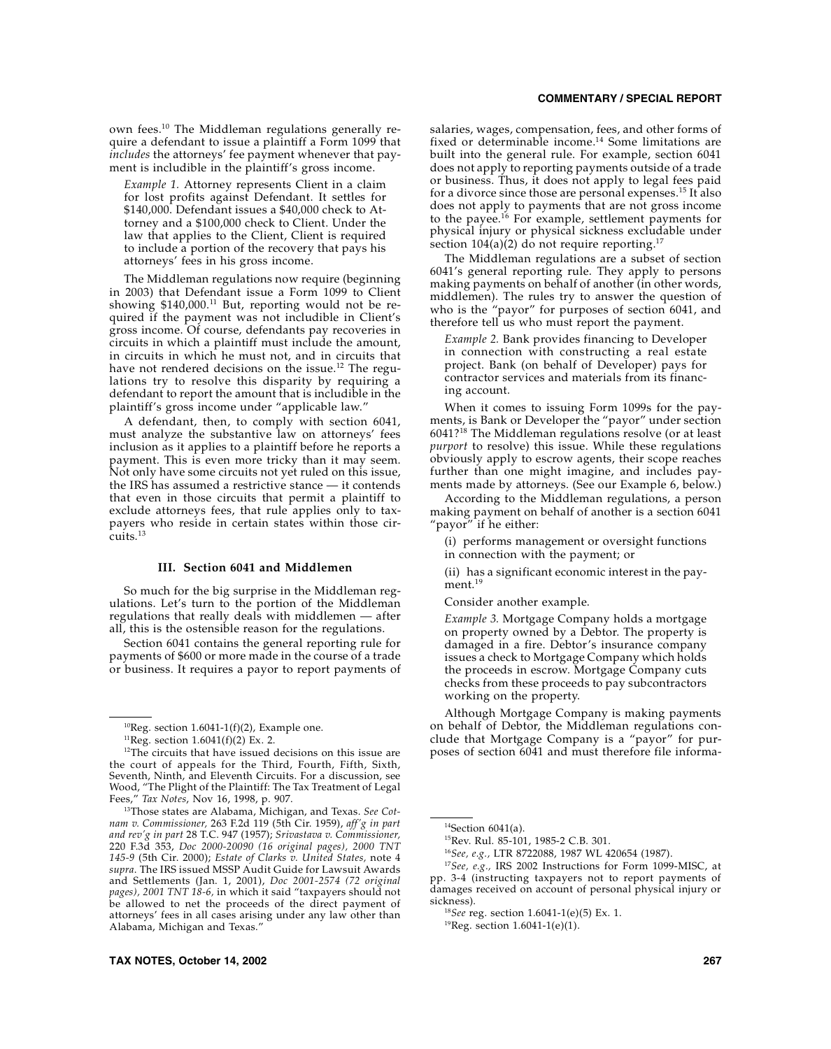own fees.10 The Middleman regulations generally require a defendant to issue a plaintiff a Form 1099 that *includes* the attorneys' fee payment whenever that payment is includible in the plaintiff's gross income.

*Example 1.* Attorney represents Client in a claim for lost profits against Defendant. It settles for \$140,000. Defendant issues a \$40,000 check to Attorney and a \$100,000 check to Client. Under the law that applies to the Client, Client is required to include a portion of the recovery that pays his attorneys' fees in his gross income.

The Middleman regulations now require (beginning in 2003) that Defendant issue a Form 1099 to Client showing \$140,000.<sup>11</sup> But, reporting would not be required if the payment was not includible in Client's gross income. Of course, defendants pay recoveries in circuits in which a plaintiff must include the amount, in circuits in which he must not, and in circuits that have not rendered decisions on the issue.<sup>12</sup> The regulations try to resolve this disparity by requiring a defendant to report the amount that is includible in the plaintiff's gross income under "applicable law."

A defendant, then, to comply with section 6041, must analyze the substantive law on attorneys' fees inclusion as it applies to a plaintiff before he reports a payment. This is even more tricky than it may seem. Not only have some circuits not yet ruled on this issue, the IRS has assumed a restrictive stance — it contends that even in those circuits that permit a plaintiff to exclude attorneys fees, that rule applies only to taxpayers who reside in certain states within those circuits.13

## **III. Section 6041 and Middlemen**

So much for the big surprise in the Middleman regulations. Let's turn to the portion of the Middleman regulations that really deals with middlemen — after all, this is the ostensible reason for the regulations.

Section 6041 contains the general reporting rule for payments of \$600 or more made in the course of a trade or business. It requires a payor to report payments of

## **COMMENTARY / SPECIAL REPORT**

salaries, wages, compensation, fees, and other forms of fixed or determinable income.14 Some limitations are built into the general rule. For example, section 6041 does not apply to reporting payments outside of a trade or business. Thus, it does not apply to legal fees paid for a divorce since those are personal expenses.15 It also does not apply to payments that are not gross income to the payee.<sup>16</sup> For example, settlement payments for physical injury or physical sickness excludable under section  $104(a)(2)$  do not require reporting.<sup>17</sup>

The Middleman regulations are a subset of section 6041's general reporting rule. They apply to persons making payments on behalf of another (in other words, middlemen). The rules try to answer the question of who is the "payor" for purposes of section 6041, and therefore tell us who must report the payment.

*Example 2.* Bank provides financing to Developer in connection with constructing a real estate project. Bank (on behalf of Developer) pays for contractor services and materials from its financing account.

When it comes to issuing Form 1099s for the payments, is Bank or Developer the "payor" under section 6041?18 The Middleman regulations resolve (or at least *purport* to resolve) this issue. While these regulations obviously apply to escrow agents, their scope reaches further than one might imagine, and includes payments made by attorneys. (See our Example 6, below.)

According to the Middleman regulations, a person making payment on behalf of another is a section 6041 'payor" if he either:

(i) performs management or oversight functions in connection with the payment; or

(ii) has a significant economic interest in the payment.<sup>19</sup>

Consider another example.

*Example 3.* Mortgage Company holds a mortgage on property owned by a Debtor. The property is damaged in a fire. Debtor's insurance company issues a check to Mortgage Company which holds the proceeds in escrow. Mortgage Company cuts checks from these proceeds to pay subcontractors working on the property.

Although Mortgage Company is making payments on behalf of Debtor, the Middleman regulations conclude that Mortgage Company is a "payor" for purposes of section 6041 and must therefore file informa-

<sup>17</sup>*See, e.g.,* IRS 2002 Instructions for Form 1099-MISC, at pp. 3-4 (instructing taxpayers not to report payments of damages received on account of personal physical injury or

 $10$ Reg. section 1.6041-1(f)(2), Example one.

<sup>&</sup>lt;sup>11</sup>Reg. section  $1.6041(f)(2)$  Ex. 2.

<sup>&</sup>lt;sup>12</sup>The circuits that have issued decisions on this issue are the court of appeals for the Third, Fourth, Fifth, Sixth, Seventh, Ninth, and Eleventh Circuits. For a discussion, see Wood, "The Plight of the Plaintiff: The Tax Treatment of Legal Fees," *Tax Notes*, Nov 16, 1998, p. 907.

<sup>13</sup>Those states are Alabama, Michigan, and Texas. *See Cotnam v. Commissioner,* 263 F.2d 119 (5th Cir. 1959), *aff'g in part and rev'g in part* 28 T.C. 947 (1957); *Srivastava v. Commissioner,* 220 F.3d 353, *Doc 2000-20090 (16 original pages), 2000 TNT 145-9* (5th Cir. 2000); *Estate of Clarks v. United States,* note 4 *supra*. The IRS issued MSSP Audit Guide for Lawsuit Awards and Settlements (Jan. 1, 2001), *Doc 2001-2574 (72 original pages), 2001 TNT 18-6,* in which it said "taxpayers should not be allowed to net the proceeds of the direct payment of attorneys' fees in all cases arising under any law other than Alabama, Michigan and Texas."

 $14$ Section 6041(a).

<sup>15</sup>Rev. Rul. 85-101, 1985-2 C.B. 301.

<sup>16</sup>*See, e.g.,* LTR 8722088, 1987 WL 420654 (1987).

sickness). <sup>18</sup>*See* reg. section 1.6041-1(e)(5) Ex. 1.

 $19$ Reg. section 1.6041-1(e)(1).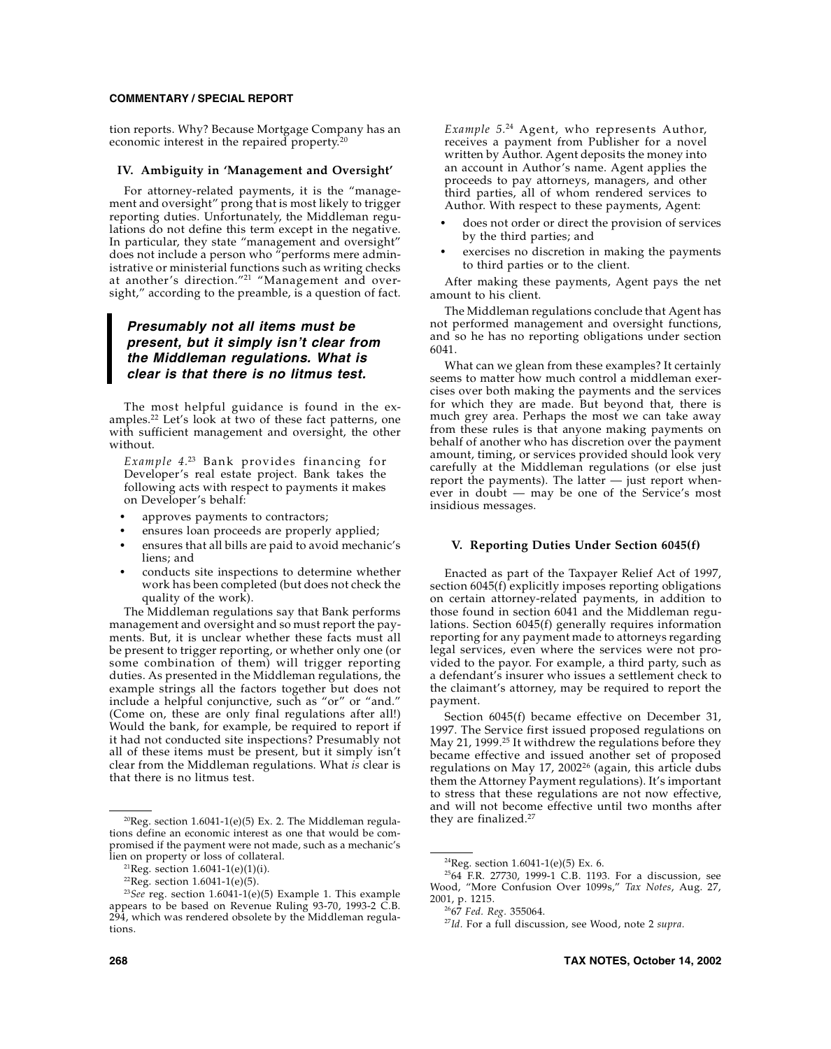tion reports. Why? Because Mortgage Company has an economic interest in the repaired property.20

#### **IV. Ambiguity in 'Management and Oversight'**

For attorney-related payments, it is the "management and oversight" prong that is most likely to trigger reporting duties. Unfortunately, the Middleman regulations do not define this term except in the negative. In particular, they state "management and oversight" does not include a person who "performs mere administrative or ministerial functions such as writing checks at another's direction."21 "Management and oversight," according to the preamble, is a question of fact.

## *Presumably not all items must be present, but it simply isn't clear from the Middleman regulations. What is clear is that there is no litmus test.*

The most helpful guidance is found in the examples.22 Let's look at two of these fact patterns, one with sufficient management and oversight, the other without.

*Example 4.*23 Bank provides financing for Developer's real estate project. Bank takes the following acts with respect to payments it makes on Developer's behalf:

- approves payments to contractors;
- ensures loan proceeds are properly applied;
- ensures that all bills are paid to avoid mechanic's liens; and
- conducts site inspections to determine whether work has been completed (but does not check the quality of the work).

The Middleman regulations say that Bank performs management and oversight and so must report the payments. But, it is unclear whether these facts must all be present to trigger reporting, or whether only one (or some combination of them) will trigger reporting duties. As presented in the Middleman regulations, the example strings all the factors together but does not include a helpful conjunctive, such as "or" or "and." (Come on, these are only final regulations after all!) Would the bank, for example, be required to report if it had not conducted site inspections? Presumably not all of these items must be present, but it simply isn't clear from the Middleman regulations. What *is* clear is that there is no litmus test.

*Example 5.*24 Agent, who represents Author, receives a payment from Publisher for a novel written by Author. Agent deposits the money into an account in Author's name. Agent applies the proceeds to pay attorneys, managers, and other third parties, all of whom rendered services to Author. With respect to these payments, Agent:

- does not order or direct the provision of services by the third parties; and
- exercises no discretion in making the payments to third parties or to the client.

After making these payments, Agent pays the net amount to his client.

The Middleman regulations conclude that Agent has not performed management and oversight functions, and so he has no reporting obligations under section 6041.

What can we glean from these examples? It certainly seems to matter how much control a middleman exercises over both making the payments and the services for which they are made. But beyond that, there is much grey area. Perhaps the most we can take away from these rules is that anyone making payments on behalf of another who has discretion over the payment amount, timing, or services provided should look very carefully at the Middleman regulations (or else just report the payments). The latter — just report whenever in doubt — may be one of the Service's most insidious messages.

#### **V. Reporting Duties Under Section 6045(f)**

Enacted as part of the Taxpayer Relief Act of 1997, section 6045(f) explicitly imposes reporting obligations on certain attorney-related payments, in addition to those found in section 6041 and the Middleman regulations. Section 6045(f) generally requires information reporting for any payment made to attorneys regarding legal services, even where the services were not provided to the payor. For example, a third party, such as a defendant's insurer who issues a settlement check to the claimant's attorney, may be required to report the payment.

Section 6045(f) became effective on December 31, 1997. The Service first issued proposed regulations on May 21, 1999.<sup>25</sup> It withdrew the regulations before they became effective and issued another set of proposed regulations on May 17, 2002 $^{26}$  (again, this article dubs them the Attorney Payment regulations). It's important to stress that these regulations are not now effective, and will not become effective until two months after

<sup>&</sup>lt;sup>20</sup>Reg. section 1.6041-1(e)(5) Ex. 2. The Middleman regula-<br> $\frac{120}{\text{deg}}$  are finalized.<sup>27</sup> tions define an economic interest as one that would be compromised if the payment were not made, such as a mechanic's lien on property or loss of collateral.

<sup>&</sup>lt;sup>21</sup>Reg. section  $1.6041 - 1(e)(1)(i)$ .

 $22$ Reg. section 1.6041-1(e)(5).

<sup>23</sup>*See* reg. section 1.6041-1(e)(5) Example 1. This example appears to be based on Revenue Ruling 93-70, 1993-2 C.B. 294, which was rendered obsolete by the Middleman regulations.

<sup>&</sup>lt;sup>24</sup>Reg. section 1.6041-1(e)(5) Ex. 6.

<sup>2564</sup> F.R. 27730, 1999-1 C.B. 1193. For a discussion, see Wood, "More Confusion Over 1099s," *Tax Notes*, Aug. 27, 2001, p. 1215.

<sup>2667</sup> *Fed. Reg.* 355064.

<sup>27</sup>*Id.* For a full discussion, see Wood, note 2 *supra.*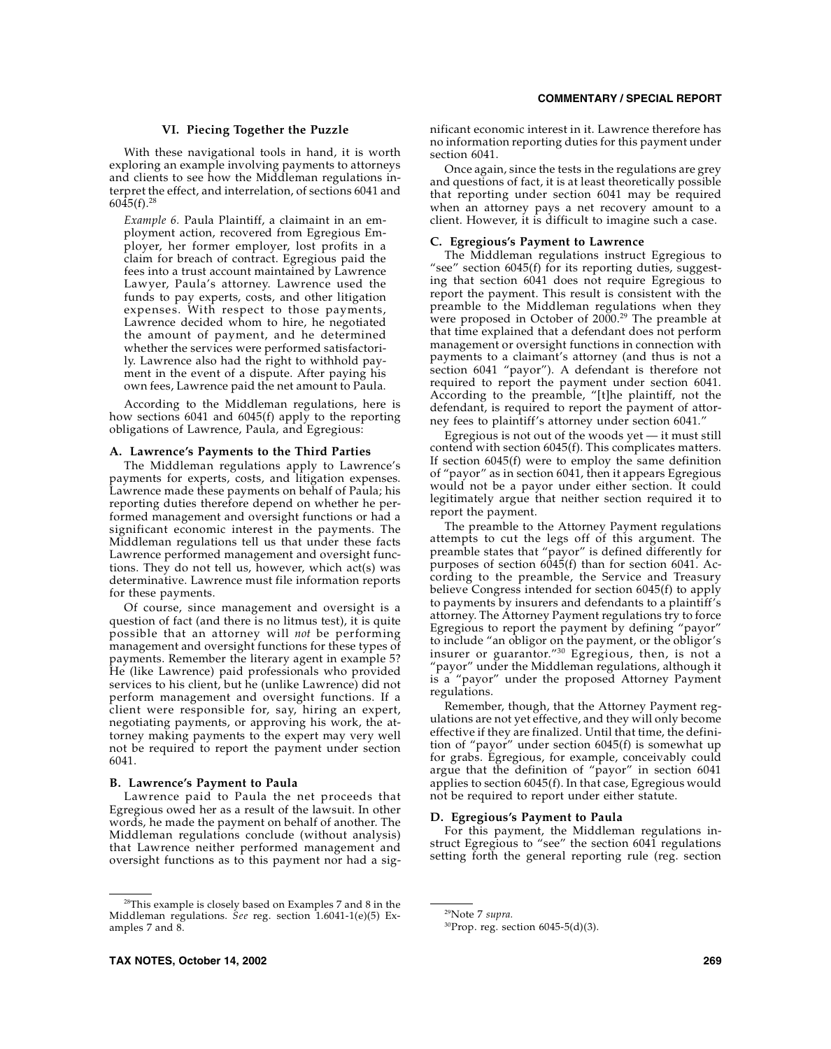### **VI. Piecing Together the Puzzle**

With these navigational tools in hand, it is worth exploring an example involving payments to attorneys and clients to see how the Middleman regulations interpret the effect, and interrelation, of sections 6041 and  $6045(f).^{28}$ 

*Example 6.* Paula Plaintiff, a claimaint in an employment action, recovered from Egregious Employer, her former employer, lost profits in a claim for breach of contract. Egregious paid the fees into a trust account maintained by Lawrence Lawyer, Paula's attorney. Lawrence used the funds to pay experts, costs, and other litigation expenses. With respect to those payments, Lawrence decided whom to hire, he negotiated the amount of payment, and he determined whether the services were performed satisfactorily. Lawrence also had the right to withhold payment in the event of a dispute. After paying his own fees, Lawrence paid the net amount to Paula.

According to the Middleman regulations, here is how sections 6041 and 6045(f) apply to the reporting obligations of Lawrence, Paula, and Egregious:

#### **A. Lawrence's Payments to the Third Parties**

The Middleman regulations apply to Lawrence's payments for experts, costs, and litigation expenses. Lawrence made these payments on behalf of Paula; his reporting duties therefore depend on whether he performed management and oversight functions or had a significant economic interest in the payments. The Middleman regulations tell us that under these facts Lawrence performed management and oversight functions. They do not tell us, however, which act(s) was determinative. Lawrence must file information reports for these payments.

Of course, since management and oversight is a question of fact (and there is no litmus test), it is quite possible that an attorney will *not* be performing management and oversight functions for these types of payments. Remember the literary agent in example 5? He (like Lawrence) paid professionals who provided services to his client, but he (unlike Lawrence) did not perform management and oversight functions. If a client were responsible for, say, hiring an expert, negotiating payments, or approving his work, the attorney making payments to the expert may very well not be required to report the payment under section 6041.

#### **B. Lawrence's Payment to Paula**

Lawrence paid to Paula the net proceeds that Egregious owed her as a result of the lawsuit. In other words, he made the payment on behalf of another. The Middleman regulations conclude (without analysis) that Lawrence neither performed management and oversight functions as to this payment nor had a significant economic interest in it. Lawrence therefore has no information reporting duties for this payment under section 6041.

Once again, since the tests in the regulations are grey and questions of fact, it is at least theoretically possible that reporting under section 6041 may be required when an attorney pays a net recovery amount to a client. However, it is difficult to imagine such a case.

#### **C. Egregious's Payment to Lawrence**

The Middleman regulations instruct Egregious to "see" section 6045(f) for its reporting duties, suggesting that section 6041 does not require Egregious to report the payment. This result is consistent with the preamble to the Middleman regulations when they were proposed in October of  $2000.^{29}$  The preamble at that time explained that a defendant does not perform management or oversight functions in connection with payments to a claimant's attorney (and thus is not a section 6041 "payor"). A defendant is therefore not required to report the payment under section 6041. According to the preamble, "[t]he plaintiff, not the defendant, is required to report the payment of attorney fees to plaintiff's attorney under section 6041."

Egregious is not out of the woods yet — it must still contend with section 6045(f). This complicates matters. If section 6045(f) were to employ the same definition of "payor" as in section 6041, then it appears Egregious would not be a payor under either section. It could legitimately argue that neither section required it to report the payment.

The preamble to the Attorney Payment regulations attempts to cut the legs off of this argument. The preamble states that "payor" is defined differently for purposes of section 6045(f) than for section 6041. According to the preamble, the Service and Treasury believe Congress intended for section 6045(f) to apply to payments by insurers and defendants to a plaintiff's attorney. The Attorney Payment regulations try to force Egregious to report the payment by defining "payor" to include "an obligor on the payment, or the obligor's insurer or guarantor."30 Egregious, then, is not a "payor" under the Middleman regulations, although it is a "payor" under the proposed Attorney Payment regulations.

Remember, though, that the Attorney Payment regulations are not yet effective, and they will only become effective if they are finalized. Until that time, the definition of "payor" under section 6045(f) is somewhat up for grabs. Egregious, for example, conceivably could argue that the definition of "payor" in section 6041 applies to section 6045(f). In that case, Egregious would not be required to report under either statute.

#### **D. Egregious's Payment to Paula**

For this payment, the Middleman regulations instruct Egregious to "see" the section 6041 regulations setting forth the general reporting rule (reg. section

<sup>&</sup>lt;sup>28</sup>This example is closely based on Examples 7 and 8 in the Middleman regulations. *See* reg. section 1.6041-1(e)(5) Examples 7 and 8.

<sup>29</sup>Note 7 *supra.*

<sup>30</sup>Prop. reg. section 6045-5(d)(3).